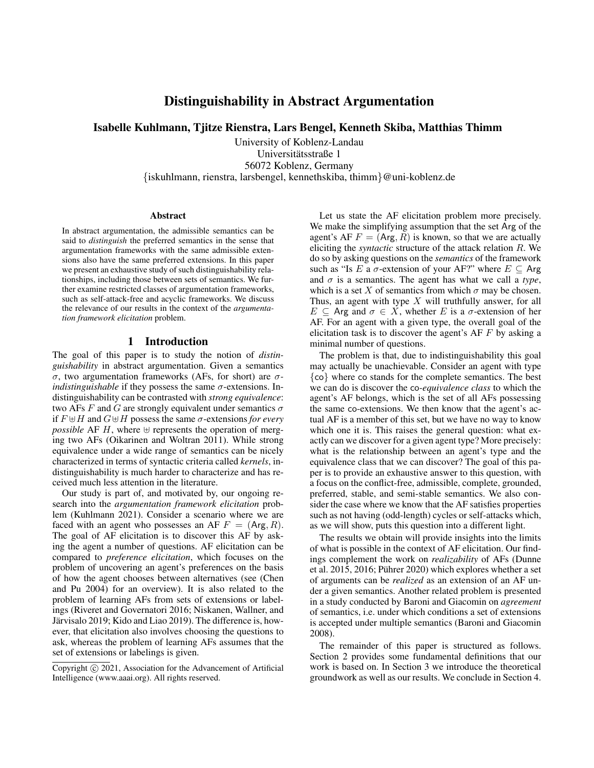# Distinguishability in Abstract Argumentation

Isabelle Kuhlmann, Tjitze Rienstra, Lars Bengel, Kenneth Skiba, Matthias Thimm

University of Koblenz-Landau Universitätsstraße 1 56072 Koblenz, Germany {iskuhlmann, rienstra, larsbengel, kennethskiba, thimm}@uni-koblenz.de

#### **Abstract**

In abstract argumentation, the admissible semantics can be said to *distinguish* the preferred semantics in the sense that argumentation frameworks with the same admissible extensions also have the same preferred extensions. In this paper we present an exhaustive study of such distinguishability relationships, including those between sets of semantics. We further examine restricted classes of argumentation frameworks, such as self-attack-free and acyclic frameworks. We discuss the relevance of our results in the context of the *argumentation framework elicitation* problem.

## 1 Introduction

The goal of this paper is to study the notion of *distinguishability* in abstract argumentation. Given a semantics σ, two argumentation frameworks (AFs, for short) are σ*indistinguishable* if they possess the same  $\sigma$ -extensions. Indistinguishability can be contrasted with *strong equivalence*: two AFs F and G are strongly equivalent under semantics  $\sigma$ if  $F \oplus H$  and  $G \oplus H$  possess the same  $\sigma$ -extensions *for every possible* AF H, where  $\oplus$  represents the operation of merging two AFs (Oikarinen and Woltran 2011). While strong equivalence under a wide range of semantics can be nicely characterized in terms of syntactic criteria called *kernels*, indistinguishability is much harder to characterize and has received much less attention in the literature.

Our study is part of, and motivated by, our ongoing research into the *argumentation framework elicitation* problem (Kuhlmann 2021). Consider a scenario where we are faced with an agent who possesses an AF  $F = (Arg, R)$ . The goal of AF elicitation is to discover this AF by asking the agent a number of questions. AF elicitation can be compared to *preference elicitation*, which focuses on the problem of uncovering an agent's preferences on the basis of how the agent chooses between alternatives (see (Chen and Pu 2004) for an overview). It is also related to the problem of learning AFs from sets of extensions or labelings (Riveret and Governatori 2016; Niskanen, Wallner, and Järvisalo 2019; Kido and Liao 2019). The difference is, however, that elicitation also involves choosing the questions to ask, whereas the problem of learning AFs assumes that the set of extensions or labelings is given.

Let us state the AF elicitation problem more precisely. We make the simplifying assumption that the set Arg of the agent's AF  $F = (Arg, R)$  is known, so that we are actually eliciting the *syntactic* structure of the attack relation R. We do so by asking questions on the *semantics* of the framework such as "Is E a  $\sigma$ -extension of your AF?" where  $E \subseteq \text{Arg}$ and  $\sigma$  is a semantics. The agent has what we call a *type*, which is a set X of semantics from which  $\sigma$  may be chosen. Thus, an agent with type  $X$  will truthfully answer, for all  $E \subseteq$  Arg and  $\sigma \in X$ , whether E is a  $\sigma$ -extension of her AF. For an agent with a given type, the overall goal of the elicitation task is to discover the agent's  $AF F$  by asking a minimal number of questions.

The problem is that, due to indistinguishability this goal may actually be unachievable. Consider an agent with type {co} where co stands for the complete semantics. The best we can do is discover the co*-equivalence class* to which the agent's AF belongs, which is the set of all AFs possessing the same co-extensions. We then know that the agent's actual AF is a member of this set, but we have no way to know which one it is. This raises the general question: what exactly can we discover for a given agent type? More precisely: what is the relationship between an agent's type and the equivalence class that we can discover? The goal of this paper is to provide an exhaustive answer to this question, with a focus on the conflict-free, admissible, complete, grounded, preferred, stable, and semi-stable semantics. We also consider the case where we know that the AF satisfies properties such as not having (odd-length) cycles or self-attacks which, as we will show, puts this question into a different light.

The results we obtain will provide insights into the limits of what is possible in the context of AF elicitation. Our findings complement the work on *realizability* of AFs (Dunne et al. 2015, 2016; Pührer 2020) which explores whether a set of arguments can be *realized* as an extension of an AF under a given semantics. Another related problem is presented in a study conducted by Baroni and Giacomin on *agreement* of semantics, i.e. under which conditions a set of extensions is accepted under multiple semantics (Baroni and Giacomin 2008).

The remainder of this paper is structured as follows. Section 2 provides some fundamental definitions that our work is based on. In Section 3 we introduce the theoretical groundwork as well as our results. We conclude in Section 4.

Copyright © 2021, Association for the Advancement of Artificial Intelligence (www.aaai.org). All rights reserved.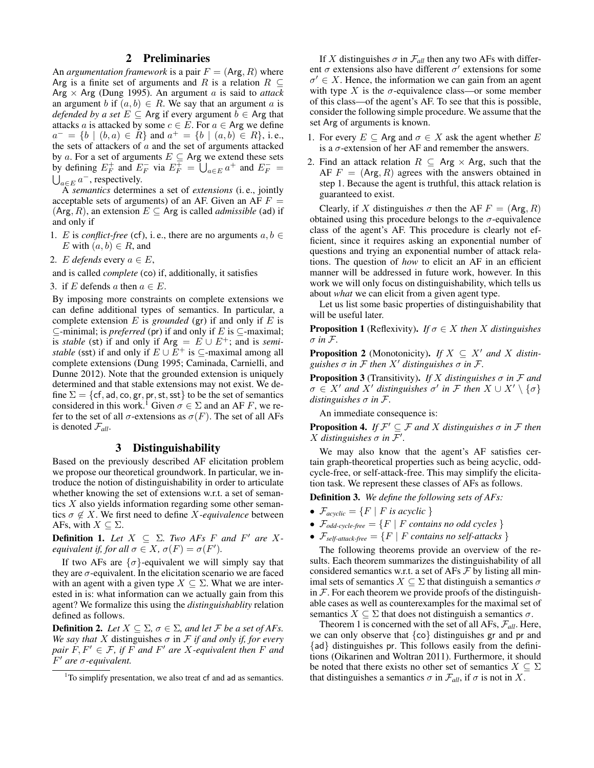### 2 Preliminaries

An *argumentation framework* is a pair  $F = (Arg, R)$  where Arg is a finite set of arguments and R is a relation  $R \subseteq$ Arg  $\times$  Arg (Dung 1995). An argument a is said to attack an argument b if  $(a, b) \in R$ . We say that an argument a is *defended by a set*  $E \subseteq$  Arg if every argument  $b \in$  Arg that attacks a is attacked by some  $c \in E$ . For  $a \in \text{Arg}$  we define  $a^- = \{b \mid (b, a) \in R\}$  and  $a^+ = \{b \mid (a, b) \in R\}$ , i.e., the sets of attackers of  $a$  and the set of arguments attacked by a. For a set of arguments  $E \subseteq \text{Arg}$  we extend these sets by defining  $E_F^+$  and  $E_F^-$  via  $E_F^+ = \bigcup_{a \in E} a^+$  and  $E_F^- = \bigcup_{a \in E} a^-$ , respectively.  $_{a\in E}$   $a^-$ , respectively.

A *semantics* determines a set of *extensions* (i. e., jointly acceptable sets of arguments) of an AF. Given an AF  $F =$  $(Arg, R)$ , an extension  $E \subseteq Arg$  is called *admissible* (ad) if and only if

- 1. *E* is *conflict-free* (cf), i.e., there are no arguments  $a, b \in$ E with  $(a, b) \in R$ , and
- 2. E *defends* every  $a \in E$ ,

and is called *complete* (co) if, additionally, it satisfies

3. if E defends a then  $a \in E$ .

By imposing more constraints on complete extensions we can define additional types of semantics. In particular, a complete extension  $E$  is *grounded* (gr) if and only if  $E$  is  $\subseteq$ -minimal; is *preferred* (pr) if and only if E is  $\subseteq$ -maximal; is *stable* (st) if and only if  $Arg = E \cup E^{+}$ ; and is *semistable* (sst) if and only if  $E \cup E^+$  is  $\subseteq$ -maximal among all complete extensions (Dung 1995; Caminada, Carnielli, and Dunne 2012). Note that the grounded extension is uniquely determined and that stable extensions may not exist. We define  $\Sigma = \{cf, ad, co, gr, pr, st, sst\}$  to be the set of semantics considered in this work.<sup>1</sup> Given  $\sigma \in \Sigma$  and an AF F, we refer to the set of all  $\sigma$ -extensions as  $\sigma(F)$ . The set of all AFs is denoted F*all*.

#### 3 Distinguishability

Based on the previously described AF elicitation problem we propose our theoretical groundwork. In particular, we introduce the notion of distinguishability in order to articulate whether knowing the set of extensions w.r.t. a set of semantics X also yields information regarding some other semantics  $\sigma \notin X$ . We first need to define X-equivalence between AFs, with  $X \subseteq \Sigma$ .

**Definition 1.** Let  $X \subseteq \Sigma$ . Two AFs F and F' are X*equivalent if, for all*  $\sigma \in X$ ,  $\sigma(F) = \sigma(F')$ *.* 

If two AFs are  $\{\sigma\}$ -equivalent we will simply say that they are  $\sigma$ -equivalent. In the elicitation scenario we are faced with an agent with a given type  $X \subseteq \Sigma$ . What we are interested in is: what information can we actually gain from this agent? We formalize this using the *distinguishablity* relation defined as follows.

**Definition 2.** *Let*  $X \subseteq \Sigma$ ,  $\sigma \in \Sigma$ , and let F be a set of AFs. *We say that* X distinguishes  $\sigma$  in F *if and only if, for every pair*  $F, F' \in \mathcal{F}$ , if  $F$  *and*  $F'$  *are*  $X$ *-equivalent then*  $F$  *and* F <sup>0</sup> *are* σ*-equivalent.*

If X distinguishes  $\sigma$  in  $\mathcal{F}_{all}$  then any two AFs with different  $\sigma$  extensions also have different  $\sigma'$  extensions for some  $\sigma' \in X$ . Hence, the information we can gain from an agent with type X is the  $\sigma$ -equivalence class—or some member of this class—of the agent's AF. To see that this is possible, consider the following simple procedure. We assume that the set Arg of arguments is known.

- 1. For every  $E \subseteq \text{Arg}$  and  $\sigma \in X$  ask the agent whether E is a  $\sigma$ -extension of her AF and remember the answers.
- 2. Find an attack relation  $R \subseteq \text{Arg} \times \text{Arg}$ , such that the AF  $F = (Arg, R)$  agrees with the answers obtained in step 1. Because the agent is truthful, this attack relation is guaranteed to exist.

Clearly, if X distinguishes  $\sigma$  then the AF  $F = (Arg, R)$ obtained using this procedure belongs to the  $\sigma$ -equivalence class of the agent's AF. This procedure is clearly not efficient, since it requires asking an exponential number of questions and trying an exponential number of attack relations. The question of *how* to elicit an AF in an efficient manner will be addressed in future work, however. In this work we will only focus on distinguishability, which tells us about *what* we can elicit from a given agent type.

Let us list some basic properties of distinguishability that will be useful later.

**Proposition 1** (Reflexivity). *If*  $\sigma \in X$  *then X distinguishes* σ *in* F*.*

**Proposition 2** (Monotonicity). *If*  $X \subseteq X'$  *and* X distin*guishes*  $\sigma$  *in*  $\mathcal F$  *then*  $X'$  *distinguishes*  $\sigma$  *in*  $\mathcal F$ *.* 

**Proposition 3** (Transitivity). *If* X distinguishes  $\sigma$  in F and  $\sigma \in X'$  *and*  $X'$  *distinguishes*  $\sigma'$  *in*  $\mathcal{F}$  *then*  $X \cup X' \setminus \{\sigma\}$ *distinguishes* σ *in* F*.*

An immediate consequence is:

**Proposition 4.** If  $\mathcal{F}' \subseteq \mathcal{F}$  and X distinguishes  $\sigma$  in  $\mathcal{F}$  then *X* distinguishes  $\sigma$  in  $\mathcal{F}'$ .

We may also know that the agent's AF satisfies certain graph-theoretical properties such as being acyclic, oddcycle-free, or self-attack-free. This may simplify the elicitation task. We represent these classes of AFs as follows.

Definition 3. *We define the following sets of AFs:*

- $\mathcal{F}_{acyclic} = \{F \mid F \text{ is acyclic }\}$
- $\mathcal{F}_{odd\text{-cycle-free}} = \{F \mid F \text{ contains no odd cycles }\}$
- $\mathcal{F}_{\text{self-attack-free}} = \{F \mid F \text{ contains no self-attack}\}$

The following theorems provide an overview of the results. Each theorem summarizes the distinguishability of all considered semantics w.r.t. a set of AFs  $\mathcal F$  by listing all minimal sets of semantics  $X \subseteq \Sigma$  that distinguish a semantics  $\sigma$ in  $F$ . For each theorem we provide proofs of the distinguishable cases as well as counterexamples for the maximal set of semantics  $X \subseteq \Sigma$  that does not distinguish a semantics  $\sigma$ .

Theorem 1 is concerned with the set of all AFs, F*all*. Here, we can only observe that  ${co}$  distinguishes gr and pr and {ad} distinguishes pr. This follows easily from the definitions (Oikarinen and Woltran 2011). Furthermore, it should be noted that there exists no other set of semantics  $X \subseteq \Sigma$ that distinguishes a semantics  $\sigma$  in  $\mathcal{F}_{all}$ , if  $\sigma$  is not in X.

<sup>&</sup>lt;sup>1</sup>To simplify presentation, we also treat cf and ad as semantics.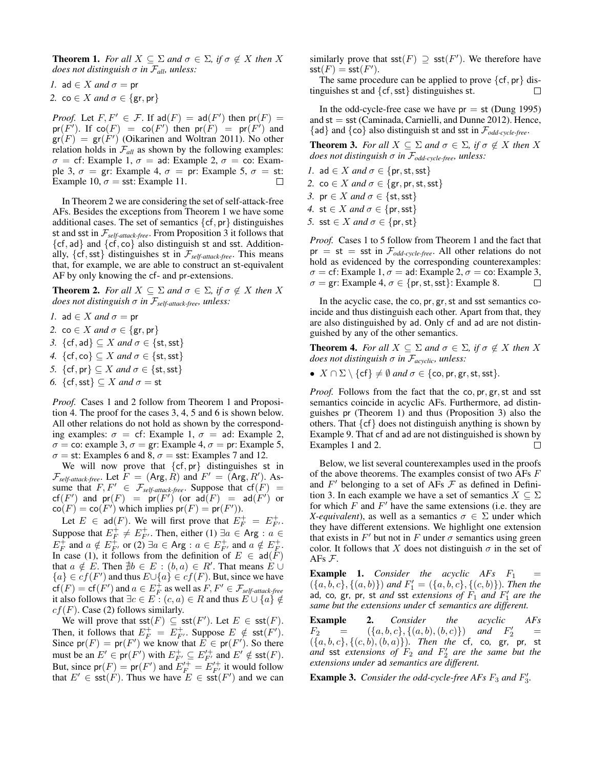**Theorem 1.** *For all*  $X \subseteq \Sigma$  *and*  $\sigma \in \Sigma$ *, if*  $\sigma \notin X$  *then* X *does not distinguish*  $\sigma$  *in*  $\mathcal{F}_{all}$ *, unless:* 

*1.* ad  $\in$  *X and*  $\sigma$  = pr *2.* co  $\in$  *X* and  $\sigma \in \{$ gr, pr $\}$ 

*Proof.* Let  $F, F' \in \mathcal{F}$ . If  $\text{ad}(F) = \text{ad}(F')$  then  $\text{pr}(F) =$  $pr(F')$ . If  $co(F) = co(F')$  then  $pr(F) = pr(F')$  and  $\text{gr}(F) = \text{gr}(F')$  (Oikarinen and Woltran 2011). No other relation holds in  $\mathcal{F}_{all}$  as shown by the following examples:  $\sigma = \text{cf: Example 1, } \sigma = \text{ad: Example 2, } \sigma = \text{co: Exam-}$ ple 3,  $\sigma = \text{gr: Example 4}, \sigma = \text{pr: Example 5}, \sigma = \text{st:}$ Example 10,  $\sigma$  = sst: Example 11.  $\Box$ 

In Theorem 2 we are considering the set of self-attack-free AFs. Besides the exceptions from Theorem 1 we have some additional cases. The set of semantics  $\{cf, pr\}$  distinguishes st and sst in F*self-attack-free*. From Proposition 3 it follows that  $\{cf, ad\}$  and  $\{cf, co\}$  also distinguish st and sst. Additionally, {cf,sst} distinguishes st in F*self-attack-free*. This means that, for example, we are able to construct an st-equivalent AF by only knowing the cf- and pr-extensions.

**Theorem 2.** *For all*  $X \subseteq \Sigma$  *and*  $\sigma \in \Sigma$ *, if*  $\sigma \notin X$  *then* X *does not distinguish* σ *in* F*self-attack-free, unless:*

- *1.* ad  $\in X$  *and*  $\sigma =$  pr
- *2.* co  $\in$  *X* and  $\sigma \in \{$ gr, pr $\}$
- *3.*  $\{cf, ad\} \subseteq X$  *and*  $\sigma \in \{st, sst\}$
- *4.*  $\{cf, co\} \subseteq X$  *and*  $\sigma \in \{st, sst\}$
- *5.*  $\{cf, pr\} \subseteq X$  *and*  $\sigma \in \{st, sst\}$
- *6.*  $\{cf, sst\} \subseteq X$  *and*  $\sigma = st$

*Proof.* Cases 1 and 2 follow from Theorem 1 and Proposition 4. The proof for the cases 3, 4, 5 and 6 is shown below. All other relations do not hold as shown by the corresponding examples:  $\sigma = cf$ : Example 1,  $\sigma = ad$ : Example 2,  $\sigma = \text{co: example } 3, \sigma = \text{gr: Example 4, } \sigma = \text{pr: Example 5,}$  $\sigma$  = st: Examples 6 and 8,  $\sigma$  = sst: Examples 7 and 12.

We will now prove that  $\{cf, pr\}$  distinguishes st in  $\mathcal{F}_{self-attack-free}$ . Let  $F = (Arg, R)$  and  $F' = (Arg, R')$ . Assume that  $F, F' \in \mathcal{F}_{\text{self-attack-free}}$ . Suppose that  $cf(F) =$  $\mathsf{cf}(F')$  and  $\mathsf{pr}(F) = \mathsf{pr}(F')$  (or  $\mathsf{ad}(F) = \mathsf{ad}(F')$  or  $\text{co}(F) = \text{co}(F')$  which implies  $\text{pr}(F) = \text{pr}(F')$ ).

Let  $E \in \text{ad}(F)$ . We will first prove that  $E_F^+ = E_{F'}^+$ . Suppose that  $E_F^+ \neq E_{F'}^+$ . Then, either (1)  $\exists a \in \text{Arg} : a \in$  $E_F^+$  and  $a \notin E_{F'}^+$  or (2)  $\exists a \in \text{Arg} : a \in E_{F'}^+$  and  $a \notin E_{F'}^+$ . In case (1), it follows from the definition of  $E \in \text{ad}(F)$ that  $a \notin \overline{E}$ . Then  $\nexists b \in E : (b, a) \in R'$ . That means  $E \cup$  ${a} \in cf(F')$  and thus  $E \cup {a} \in cf(F)$ . But, since we have  $\mathsf{cf}(F) = \mathsf{cf}(F')$  and  $a \in E_F^+$  as well as  $F, F' \in \mathcal{F}_{\text{self-attack-free}}$ it also follows that  $\exists c \in E : (c, a) \in R$  and thus  $E \cup \{a\} \notin \mathcal{E}$  $cf(F)$ . Case (2) follows similarly.

We will prove that  $\mathsf{sst}(F) \subseteq \mathsf{sst}(F')$ . Let  $E \in \mathsf{sst}(F)$ . Then, it follows that  $E_F^+ = E_{F'}^+$ . Suppose  $E \notin \text{sst}(F')$ . Since  $pr(F) = pr(F')$  we know that  $E \in pr(F')$ . So there must be an  $E' \in \text{pr}(F')$  with  $E_{F'}^+ \subseteq E_{F'}'^+$  and  $E' \notin \text{sst}(F)$ . But, since  $pr(F) = pr(F')$  and  $E'^{+}_F = E'^{+}_{F'}$  it would follow that  $E' \in \text{sst}(\hat{F})$ . Thus we have  $E \in \text{sst}(F')$  and we can similarly prove that  $\mathsf{sst}(F) \supseteq \mathsf{sst}(F')$ . We therefore have  $\mathsf{sst}(F) = \mathsf{sst}(F').$ 

The same procedure can be applied to prove  $\{cf, pr\}$  distinguishes st and {cf,sst} distinguishes st. П

In the odd-cycle-free case we have  $pr = st$  (Dung 1995) and  $st = sst$  (Caminada, Carnielli, and Dunne 2012). Hence, {ad} and {co} also distinguish st and sst in F*odd-cycle-free*.

**Theorem 3.** For all  $X \subseteq \Sigma$  and  $\sigma \in \Sigma$ , if  $\sigma \notin X$  then X *does not distinguish* σ *in* F*odd-cycle-free, unless:*

- *1.* ad  $\in X$  *and*  $\sigma \in \{pr, st, sst\}$ *2.* co  $\in$  *X* and  $\sigma$   $\in$  {gr, pr, st, sst} *3.* pr  $\in$  *X* and  $\sigma \in \{\text{st}, \text{sst}\}$
- *4.* st  $\in$  *X* and  $\sigma \in \{pr, sst\}$
- *5.* sst  $\in X$  *and*  $\sigma \in \{pr, st\}$

*Proof.* Cases 1 to 5 follow from Theorem 1 and the fact that  $pr = st = sst$  in  $\mathcal{F}_{odd-cycle-free}$ . All other relations do not hold as evidenced by the corresponding counterexamples:  $\sigma = \text{cf: Example 1}, \sigma = \text{ad: Example 2}, \sigma = \text{co: Example 3},$  $\sigma = \text{gr: Example 4}, \sigma \in \{\text{pr, st, sst}\}\colon \text{Example 8}.$  $\Box$ 

In the acyclic case, the co, pr, gr, st and sst semantics coincide and thus distinguish each other. Apart from that, they are also distinguished by ad. Only cf and ad are not distinguished by any of the other semantics.

**Theorem 4.** *For all*  $X \subseteq \Sigma$  *and*  $\sigma \in \Sigma$ *, if*  $\sigma \notin X$  *then* X *does not distinguish* σ *in* F*acyclic, unless:*

•  $X \cap \Sigma \setminus \{cf\} \neq \emptyset$  *and*  $\sigma \in \{\text{co}, \text{pr}, \text{gr}, \text{st}, \text{sst}\}.$ 

*Proof.* Follows from the fact that the co, pr, gr, st and sst semantics coincide in acyclic AFs. Furthermore, ad distinguishes pr (Theorem 1) and thus (Proposition 3) also the others. That  $\{cf\}$  does not distinguish anything is shown by Example 9. That cf and ad are not distinguished is shown by Examples 1 and 2. П

Below, we list several counterexamples used in the proofs of the above theorems. The examples consist of two AFs F and  $F'$  belonging to a set of AFs  $\mathcal F$  as defined in Definition 3. In each example we have a set of semantics  $X \subseteq \Sigma$ for which  $F$  and  $F'$  have the same extensions (i.e. they are *X-equivalent*), as well as a semantics  $\sigma \in \Sigma$  under which they have different extensions. We highlight one extension that exists in  $F'$  but not in F under  $\sigma$  semantics using green color. It follows that X does not distinguish  $\sigma$  in the set of AFs F.

**Example 1.** *Consider the acyclic AFs*  $F_1$  =  $({a, b, c}, {a, b})$  *and*  $F'_1 = ({a, b, c}, {c, b})$ *). Then the* ad, co, gr, pr, st *and* sst *extensions of*  $F_1$  *and*  $F'_1$  *are the same but the extensions under* cf *semantics are different.*

**Example 2.** *Consider the acyclic AFs*<br> $F_2$  =  $(\{a, b, c\}, \{(a, b), (b, c)\})$  *and*  $F_2'$  =  $F_2 = (\{a, b, c\}, \{(a, b), (b, c)\})$  and  $F_2'$  $\frac{1}{2}$  =  $({a, b, c}, {c, b}, {(c, b), (b, a)}).$  Then the cf, co, gr, pr, st and sst *extensions of*  $F_2$  *and*  $F'_2$  *are the same but the extensions under* ad *semantics are different.*

**Example 3.** Consider the odd-cycle-free AFs  $F_3$  and  $F'_3$ .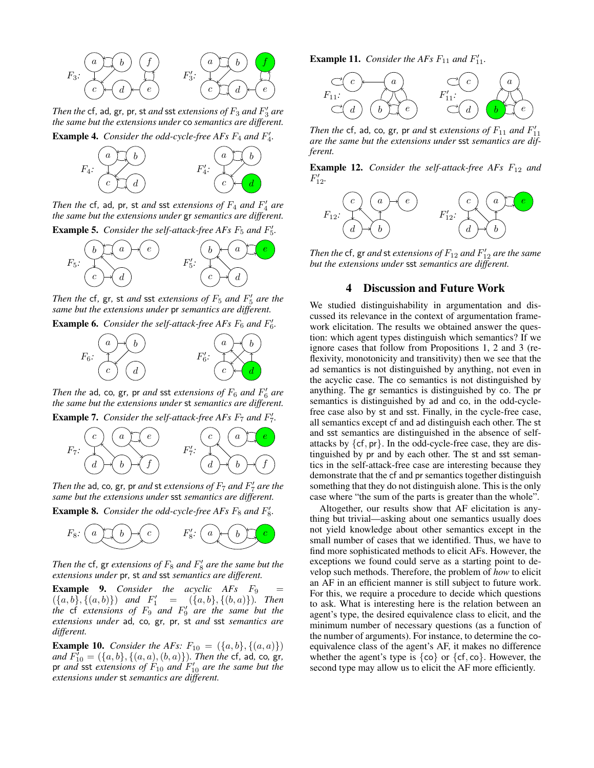

*Then the* cf, ad, gr, pr, st *and* sst *extensions of*  $F_3$  *and*  $F'_3$  *are the same but the extensions under* co *semantics are different.*

**Example 4.** Consider the odd-cycle-free AFs  $F_4$  and  $F'_4$ .



*Then the* cf, ad, pr, st *and* sst *extensions of*  $F_4$  *and*  $F'_4$  *are the same but the extensions under* gr *semantics are different.*



*Then the*  $cf$ ,  $gr$ ,  $st$  *and*  $sst$  *extensions of*  $F_5$  *and*  $F'_5$  *are the same but the extensions under* pr *semantics are different.*

**Example 6.** Consider the self-attack-free AFs  $F_6$  and  $F'_6$ .



*Then the* ad, co, gr, pr *and* sst *extensions of*  $F_6$  *and*  $F'_6$  *are the same but the extensions under* st *semantics are different.*

**Example 7.** Consider the self-attack-free AFs  $F_7$  and  $F'_7$ .



*Then the* ad, co, gr, pr *and* st *extensions of*  $F_7$  *and*  $F'_7$  *are the same but the extensions under* sst *semantics are different.*

**Example 8.** Consider the odd-cycle-free AFs  $F_8$  and  $F'_8$ .



Then the  $cf$ ,  $gr$  *extensions of*  $F_8$  *and*  $F'_8$  *are the same but the extensions under* pr*,* st *and* sst *semantics are different.*

**Example 9.** *Consider the acyclic AFs*  $F_9$  $({a, b}, {(a, b)})$  *and*  $F'_1 = ({a, b}, {(b, a)})$ *. Then the* cf *extensions of*  $F_9$  *and*  $F'_9$  *are the same but the extensions under* ad*,* co*,* gr*,* pr*,* st *and* sst *semantics are different.*

**Example 10.** *Consider the AFs:*  $F_{10} = (\{a, b\}, \{(a, a)\})$  $and F_{10}^7 = (\{a, b\}, \{(a, a), (b, a)\})$ *. Then the* cf, ad, co, gr, pr *and* sst *extensions of*  $F_{10}$  *and*  $F'_{10}$  *are the same but the extensions under* st *semantics are different.*

**Example 11.** Consider the AFs  $F_{11}$  and  $F'_{11}$ .



*Then the* cf, ad, co, gr, pr *and* st *extensions of*  $F_{11}$  *and*  $F'_{11}$ *are the same but the extensions under* sst *semantics are different.*

**Example 12.** *Consider the self-attack-free AFs*  $F_{12}$  *and*  $F'_{12}$ .



Then the  $\mathsf{cf}, \mathsf{gr}$  and  $\mathsf{st}$  extensions of  $F_{12}$  and  $F'_{12}$  are the same *but the extensions under* sst *semantics are different.*

#### 4 Discussion and Future Work

We studied distinguishability in argumentation and discussed its relevance in the context of argumentation framework elicitation. The results we obtained answer the question: which agent types distinguish which semantics? If we ignore cases that follow from Propositions 1, 2 and 3 (reflexivity, monotonicity and transitivity) then we see that the ad semantics is not distinguished by anything, not even in the acyclic case. The co semantics is not distinguished by anything. The gr semantics is distinguished by co. The pr semantics is distinguished by ad and co, in the odd-cyclefree case also by st and sst. Finally, in the cycle-free case, all semantics except cf and ad distinguish each other. The st and sst semantics are distinguished in the absence of selfattacks by  $\{cf, pr\}$ . In the odd-cycle-free case, they are distinguished by pr and by each other. The st and sst semantics in the self-attack-free case are interesting because they demonstrate that the cf and pr semantics together distinguish something that they do not distinguish alone. This is the only case where "the sum of the parts is greater than the whole".

Altogether, our results show that AF elicitation is anything but trivial—asking about one semantics usually does not yield knowledge about other semantics except in the small number of cases that we identified. Thus, we have to find more sophisticated methods to elicit AFs. However, the exceptions we found could serve as a starting point to develop such methods. Therefore, the problem of *how* to elicit an AF in an efficient manner is still subject to future work. For this, we require a procedure to decide which questions to ask. What is interesting here is the relation between an agent's type, the desired equivalence class to elicit, and the minimum number of necessary questions (as a function of the number of arguments). For instance, to determine the coequivalence class of the agent's AF, it makes no difference whether the agent's type is  $\{\text{co}\}\$  or  $\{\text{cf}, \text{co}\}\$ . However, the second type may allow us to elicit the AF more efficiently.